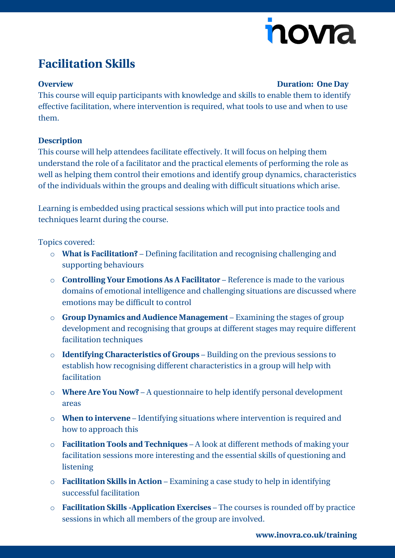# novia

## **Facilitation Skills**

### **Overview Duration: One Day**

This course will equip participants with knowledge and skills to enable them to identify effective facilitation, where intervention is required, what tools to use and when to use them.

### **Description**

This course will help attendees facilitate effectively. It will focus on helping them understand the role of a facilitator and the practical elements of performing the role as well as helping them control their emotions and identify group dynamics, characteristics of the individuals within the groups and dealing with difficult situations which arise.

Learning is embedded using practical sessions which will put into practice tools and techniques learnt during the course.

Topics covered:

- o **What is Facilitation?** Defining facilitation and recognising challenging and supporting behaviours
- o **Controlling Your Emotions As A Facilitator** Reference is made to the various domains of emotional intelligence and challenging situations are discussed where emotions may be difficult to control
- o **Group Dynamics and Audience Management** Examining the stages of group development and recognising that groups at different stages may require different facilitation techniques
- o **Identifying Characteristics of Groups** Building on the previous sessions to establish how recognising different characteristics in a group will help with facilitation
- o **Where Are You Now?** A questionnaire to help identify personal development areas
- o **When to intervene** Identifying situations where intervention is required and how to approach this
- o **Facilitation Tools and Techniques** A look at different methods of making your facilitation sessions more interesting and the essential skills of questioning and listening
- o **Facilitation Skills in Action** Examining a case study to help in identifying successful facilitation
- o **Facilitation Skills -Application Exercises** The courses is rounded off by practice sessions in which all members of the group are involved.